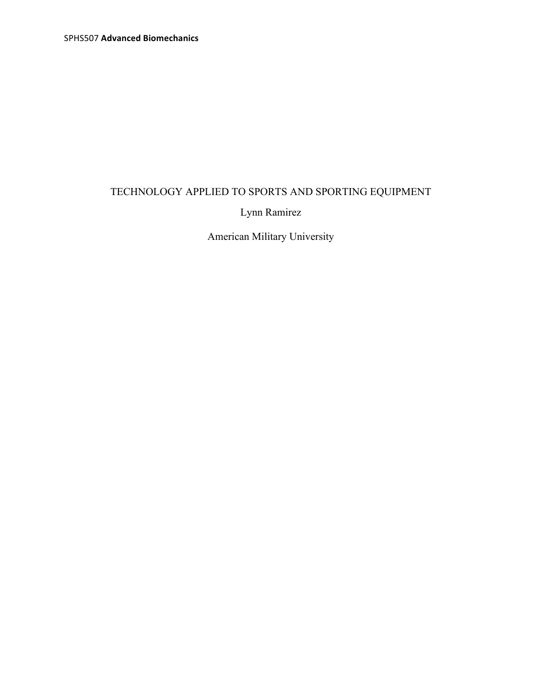# TECHNOLOGY APPLIED TO SPORTS AND SPORTING EQUIPMENT

Lynn Ramirez

American Military University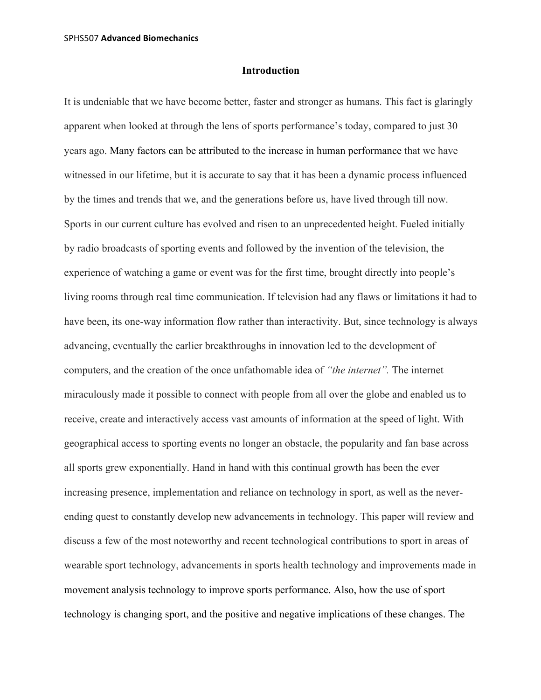### **Introduction**

It is undeniable that we have become better, faster and stronger as humans. This fact is glaringly apparent when looked at through the lens of sports performance's today, compared to just 30 years ago. Many factors can be attributed to the increase in human performance that we have witnessed in our lifetime, but it is accurate to say that it has been a dynamic process influenced by the times and trends that we, and the generations before us, have lived through till now. Sports in our current culture has evolved and risen to an unprecedented height. Fueled initially by radio broadcasts of sporting events and followed by the invention of the television, the experience of watching a game or event was for the first time, brought directly into people's living rooms through real time communication. If television had any flaws or limitations it had to have been, its one-way information flow rather than interactivity. But, since technology is always advancing, eventually the earlier breakthroughs in innovation led to the development of computers, and the creation of the once unfathomable idea of *"the internet".* The internet miraculously made it possible to connect with people from all over the globe and enabled us to receive, create and interactively access vast amounts of information at the speed of light. With geographical access to sporting events no longer an obstacle, the popularity and fan base across all sports grew exponentially. Hand in hand with this continual growth has been the ever increasing presence, implementation and reliance on technology in sport, as well as the neverending quest to constantly develop new advancements in technology. This paper will review and discuss a few of the most noteworthy and recent technological contributions to sport in areas of wearable sport technology, advancements in sports health technology and improvements made in movement analysis technology to improve sports performance. Also, how the use of sport technology is changing sport, and the positive and negative implications of these changes. The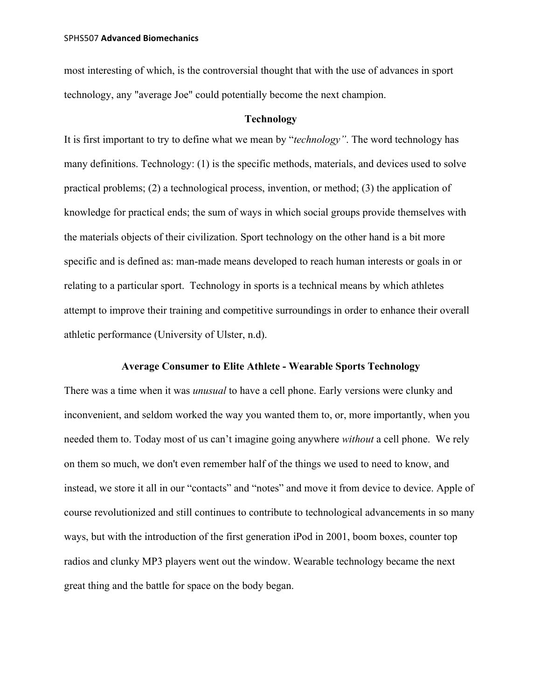most interesting of which, is the controversial thought that with the use of advances in sport technology, any "average Joe" could potentially become the next champion.

# **Technology**

It is first important to try to define what we mean by "*technology"*. The word technology has many definitions. Technology: (1) is the specific methods, materials, and devices used to solve practical problems; (2) a technological process, invention, or method; (3) the application of knowledge for practical ends; the sum of ways in which social groups provide themselves with the materials objects of their civilization. Sport technology on the other hand is a bit more specific and is defined as: man-made means developed to reach human interests or goals in or relating to a particular sport. Technology in sports is a technical means by which athletes attempt to improve their training and competitive surroundings in order to enhance their overall athletic performance (University of Ulster, n.d).

# **Average Consumer to Elite Athlete - Wearable Sports Technology**

There was a time when it was *unusual* to have a cell phone. Early versions were clunky and inconvenient, and seldom worked the way you wanted them to, or, more importantly, when you needed them to. Today most of us can't imagine going anywhere *without* a cell phone. We rely on them so much, we don't even remember half of the things we used to need to know, and instead, we store it all in our "contacts" and "notes" and move it from device to device. Apple of course revolutionized and still continues to contribute to technological advancements in so many ways, but with the introduction of the first generation iPod in 2001, boom boxes, counter top radios and clunky MP3 players went out the window. Wearable technology became the next great thing and the battle for space on the body began.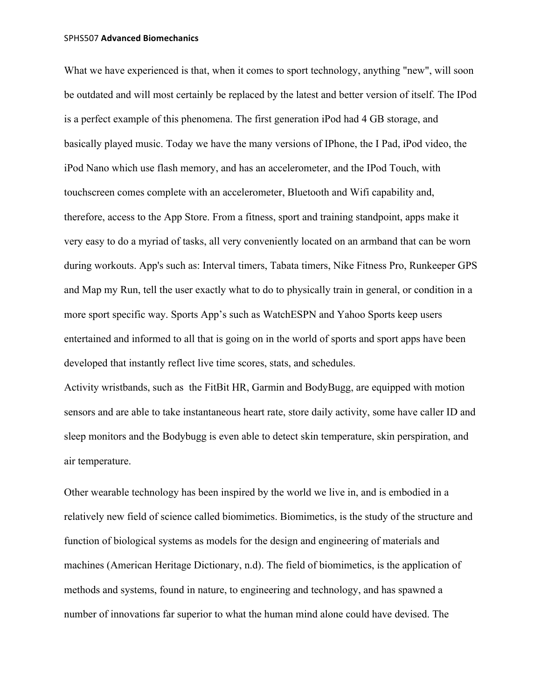What we have experienced is that, when it comes to sport technology, anything "new", will soon be outdated and will most certainly be replaced by the latest and better version of itself. The IPod is a perfect example of this phenomena. The first generation iPod had 4 GB storage, and basically played music. Today we have the many versions of IPhone, the I Pad, iPod video, the iPod Nano which use flash memory, and has an accelerometer, and the IPod Touch, with touchscreen comes complete with an accelerometer, Bluetooth and Wifi capability and, therefore, access to the App Store. From a fitness, sport and training standpoint, apps make it very easy to do a myriad of tasks, all very conveniently located on an armband that can be worn during workouts. App's such as: Interval timers, Tabata timers, Nike Fitness Pro, Runkeeper GPS and Map my Run, tell the user exactly what to do to physically train in general, or condition in a more sport specific way. Sports App's such as WatchESPN and Yahoo Sports keep users entertained and informed to all that is going on in the world of sports and sport apps have been developed that instantly reflect live time scores, stats, and schedules.

Activity wristbands, such as the FitBit HR, Garmin and BodyBugg, are equipped with motion sensors and are able to take instantaneous heart rate, store daily activity, some have caller ID and sleep monitors and the Bodybugg is even able to detect skin temperature, skin perspiration, and air temperature.

Other wearable technology has been inspired by the world we live in, and is embodied in a relatively new field of science called biomimetics. Biomimetics, is the study of the structure and function of biological systems as models for the design and engineering of materials and machines (American Heritage Dictionary, n.d). The field of biomimetics, is the application of methods and systems, found in nature, to engineering and technology, and has spawned a number of innovations far superior to what the human mind alone could have devised. The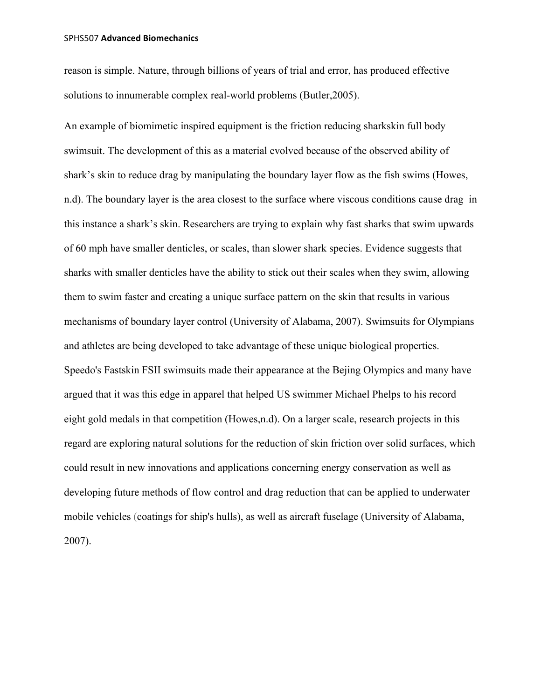reason is simple. Nature, through billions of years of trial and error, has produced effective solutions to innumerable complex real-world problems (Butler,2005).

An example of biomimetic inspired equipment is the friction reducing sharkskin full body swimsuit. The development of this as a material evolved because of the observed ability of shark's skin to reduce drag by manipulating the boundary layer flow as the fish swims (Howes, n.d). The boundary layer is the area closest to the surface where viscous conditions cause drag–in this instance a shark's skin. Researchers are trying to explain why fast sharks that swim upwards of 60 mph have smaller denticles, or scales, than slower shark species. Evidence suggests that sharks with smaller denticles have the ability to stick out their scales when they swim, allowing them to swim faster and creating a unique surface pattern on the skin that results in various mechanisms of boundary layer control (University of Alabama, 2007). Swimsuits for Olympians and athletes are being developed to take advantage of these unique biological properties. Speedo's Fastskin FSII swimsuits made their appearance at the Bejing Olympics and many have argued that it was this edge in apparel that helped US swimmer Michael Phelps to his record eight gold medals in that competition (Howes,n.d). On a larger scale, research projects in this regard are exploring natural solutions for the reduction of skin friction over solid surfaces, which could result in new innovations and applications concerning energy conservation as well as developing future methods of flow control and drag reduction that can be applied to underwater mobile vehicles (coatings for ship's hulls), as well as aircraft fuselage (University of Alabama, 2007).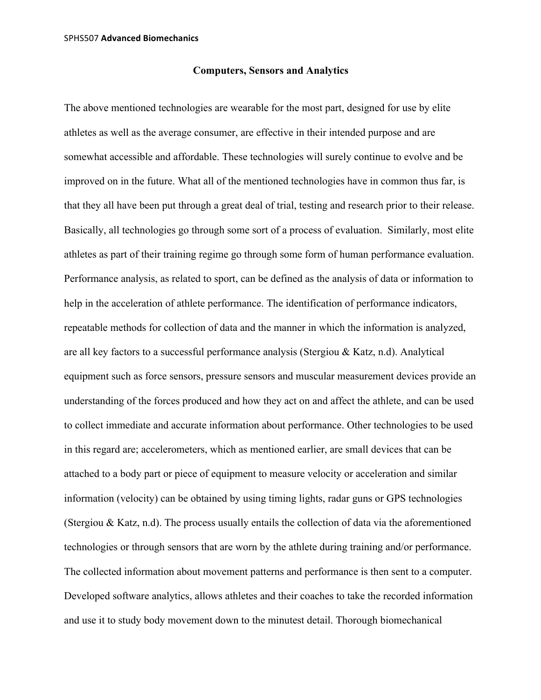## **Computers, Sensors and Analytics**

The above mentioned technologies are wearable for the most part, designed for use by elite athletes as well as the average consumer, are effective in their intended purpose and are somewhat accessible and affordable. These technologies will surely continue to evolve and be improved on in the future. What all of the mentioned technologies have in common thus far, is that they all have been put through a great deal of trial, testing and research prior to their release. Basically, all technologies go through some sort of a process of evaluation. Similarly, most elite athletes as part of their training regime go through some form of human performance evaluation. Performance analysis, as related to sport, can be defined as the analysis of data or information to help in the acceleration of athlete performance. The identification of performance indicators, repeatable methods for collection of data and the manner in which the information is analyzed, are all key factors to a successful performance analysis (Stergiou & Katz, n.d). Analytical equipment such as force sensors, pressure sensors and muscular measurement devices provide an understanding of the forces produced and how they act on and affect the athlete, and can be used to collect immediate and accurate information about performance. Other technologies to be used in this regard are; accelerometers, which as mentioned earlier, are small devices that can be attached to a body part or piece of equipment to measure velocity or acceleration and similar information (velocity) can be obtained by using timing lights, radar guns or GPS technologies (Stergiou & Katz, n.d). The process usually entails the collection of data via the aforementioned technologies or through sensors that are worn by the athlete during training and/or performance. The collected information about movement patterns and performance is then sent to a computer. Developed software analytics, allows athletes and their coaches to take the recorded information and use it to study body movement down to the minutest detail. Thorough biomechanical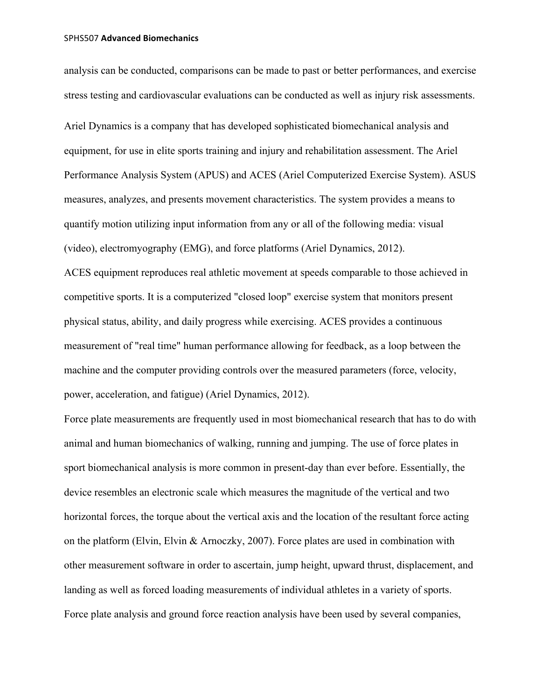analysis can be conducted, comparisons can be made to past or better performances, and exercise stress testing and cardiovascular evaluations can be conducted as well as injury risk assessments.

Ariel Dynamics is a company that has developed sophisticated biomechanical analysis and equipment, for use in elite sports training and injury and rehabilitation assessment. The Ariel Performance Analysis System (APUS) and ACES (Ariel Computerized Exercise System). ASUS measures, analyzes, and presents movement characteristics. The system provides a means to quantify motion utilizing input information from any or all of the following media: visual (video), electromyography (EMG), and force platforms (Ariel Dynamics, 2012). ACES equipment reproduces real athletic movement at speeds comparable to those achieved in competitive sports. It is a computerized "closed loop" exercise system that monitors present physical status, ability, and daily progress while exercising. ACES provides a continuous measurement of "real time" human performance allowing for feedback, as a loop between the machine and the computer providing controls over the measured parameters (force, velocity, power, acceleration, and fatigue) (Ariel Dynamics, 2012).

Force plate measurements are frequently used in most biomechanical research that has to do with animal and human biomechanics of walking, running and jumping. The use of force plates in sport biomechanical analysis is more common in present-day than ever before. Essentially, the device resembles an electronic scale which measures the magnitude of the vertical and two horizontal forces, the torque about the vertical axis and the location of the resultant force acting on the platform (Elvin, Elvin & Arnoczky, 2007). Force plates are used in combination with other measurement software in order to ascertain, jump height, upward thrust, displacement, and landing as well as forced loading measurements of individual athletes in a variety of sports. Force plate analysis and ground force reaction analysis have been used by several companies,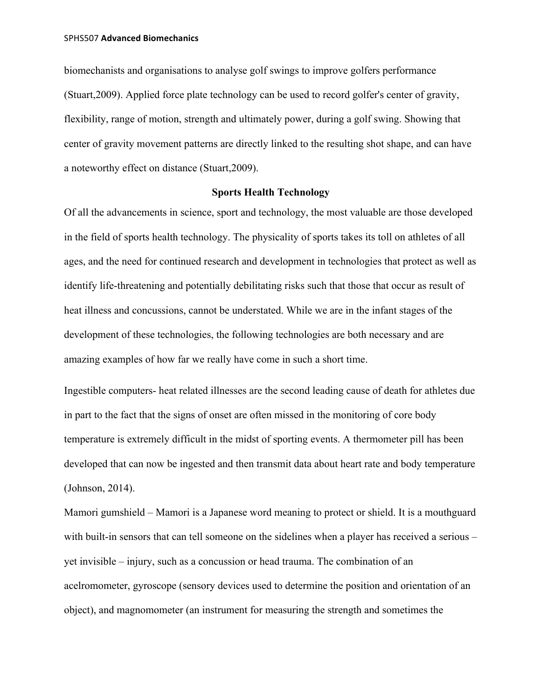biomechanists and organisations to analyse golf swings to improve golfers performance (Stuart,2009). Applied force plate technology can be used to record golfer's center of gravity, flexibility, range of motion, strength and ultimately power, during a golf swing. Showing that center of gravity movement patterns are directly linked to the resulting shot shape, and can have a noteworthy effect on distance (Stuart,2009).

## **Sports Health Technology**

Of all the advancements in science, sport and technology, the most valuable are those developed in the field of sports health technology. The physicality of sports takes its toll on athletes of all ages, and the need for continued research and development in technologies that protect as well as identify life-threatening and potentially debilitating risks such that those that occur as result of heat illness and concussions, cannot be understated. While we are in the infant stages of the development of these technologies, the following technologies are both necessary and are amazing examples of how far we really have come in such a short time.

Ingestible computers- heat related illnesses are the second leading cause of death for athletes due in part to the fact that the signs of onset are often missed in the monitoring of core body temperature is extremely difficult in the midst of sporting events. A thermometer pill has been developed that can now be ingested and then transmit data about heart rate and body temperature (Johnson, 2014).

Mamori gumshield – Mamori is a Japanese word meaning to protect or shield. It is a mouthguard with built-in sensors that can tell someone on the sidelines when a player has received a serious – yet invisible – injury, such as a concussion or head trauma. The combination of an acelromometer, gyroscope (sensory devices used to determine the position and orientation of an object), and magnomometer (an instrument for measuring the strength and sometimes the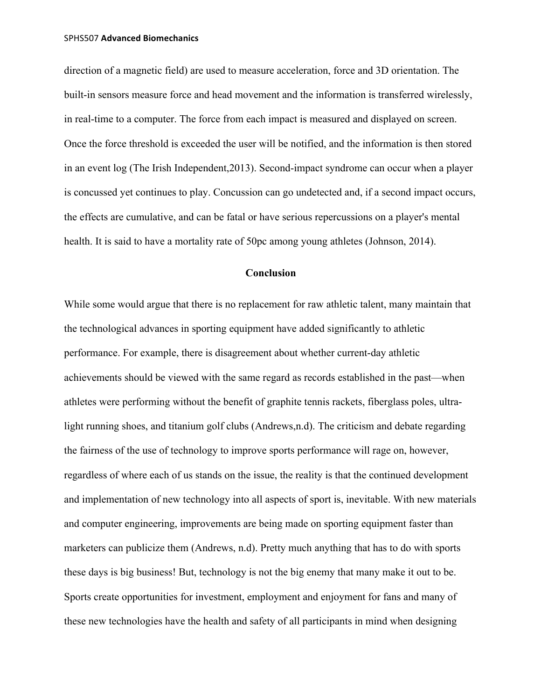direction of a magnetic field) are used to measure acceleration, force and 3D orientation. The built-in sensors measure force and head movement and the information is transferred wirelessly, in real-time to a computer. The force from each impact is measured and displayed on screen. Once the force threshold is exceeded the user will be notified, and the information is then stored in an event log (The Irish Independent,2013). Second-impact syndrome can occur when a player is concussed yet continues to play. Concussion can go undetected and, if a second impact occurs, the effects are cumulative, and can be fatal or have serious repercussions on a player's mental health. It is said to have a mortality rate of 50pc among young athletes (Johnson, 2014).

# **Conclusion**

While some would argue that there is no replacement for raw athletic talent, many maintain that the technological advances in sporting equipment have added significantly to athletic performance. For example, there is disagreement about whether current-day athletic achievements should be viewed with the same regard as records established in the past—when athletes were performing without the benefit of graphite tennis rackets, fiberglass poles, ultralight running shoes, and titanium golf clubs (Andrews,n.d). The criticism and debate regarding the fairness of the use of technology to improve sports performance will rage on, however, regardless of where each of us stands on the issue, the reality is that the continued development and implementation of new technology into all aspects of sport is, inevitable. With new materials and computer engineering, improvements are being made on sporting equipment faster than marketers can publicize them (Andrews, n.d). Pretty much anything that has to do with sports these days is big business! But, technology is not the big enemy that many make it out to be. Sports create opportunities for investment, employment and enjoyment for fans and many of these new technologies have the health and safety of all participants in mind when designing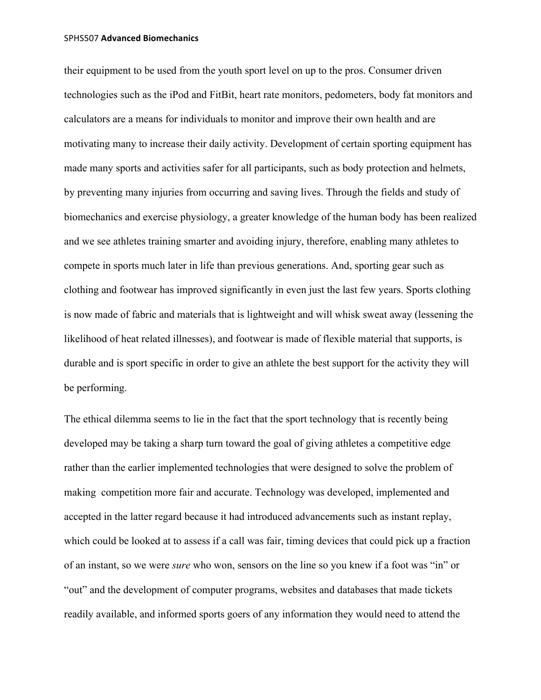their equipment to be used from the youth sport level on up to the pros. Consumer driven technologies such as the iPod and FitBit, heart rate monitors, pedometers, body fat monitors and calculators are a means for individuals to monitor and improve their own health and are motivating many to increase their daily activity. Development of certain sporting equipment has made many sports and activities safer for all participants, such as body protection and helmets, by preventing many injuries from occurring and saving lives. Through the fields and study of biomechanics and exercise physiology, a greater knowledge of the human body has been realized and we see athletes training smarter and avoiding injury, therefore, enabling many athletes to compete in sports much later in life than previous generations. And, sporting gear such as clothing and footwear has improved significantly in even just the last few years. Sports clothing is now made of fabric and materials that is lightweight and will whisk sweat away (lessening the likelihood of heat related illnesses), and footwear is made of flexible material that supports, is durable and is sport specific in order to give an athlete the best support for the activity they will be performing.

The ethical dilemma seems to lie in the fact that the sport technology that is recently being developed may be taking a sharp turn toward the goal of giving athletes a competitive edge rather than the earlier implemented technologies that were designed to solve the problem of making competition more fair and accurate. Technology was developed, implemented and accepted in the latter regard because it had introduced advancements such as instant replay, which could be looked at to assess if a call was fair, timing devices that could pick up a fraction of an instant, so we were *sure* who won, sensors on the line so you knew if a foot was "in" or "out" and the development of computer programs, websites and databases that made tickets readily available, and informed sports goers of any information they would need to attend the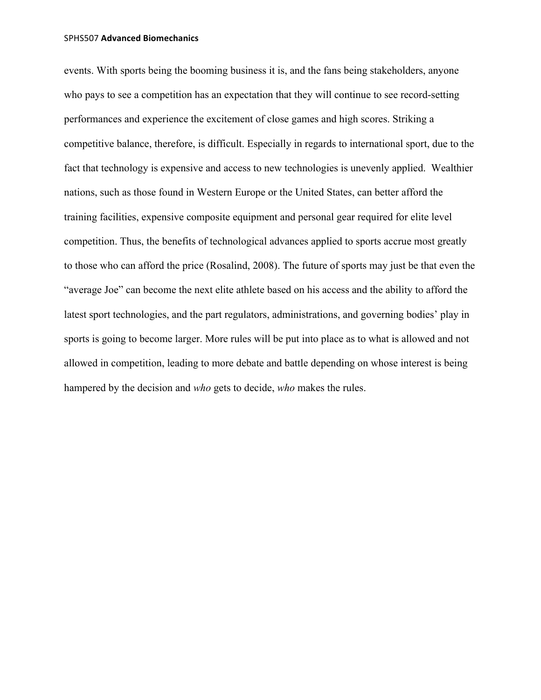events. With sports being the booming business it is, and the fans being stakeholders, anyone who pays to see a competition has an expectation that they will continue to see record-setting performances and experience the excitement of close games and high scores. Striking a competitive balance, therefore, is difficult. Especially in regards to international sport, due to the fact that technology is expensive and access to new technologies is unevenly applied. Wealthier nations, such as those found in Western Europe or the United States, can better afford the training facilities, expensive composite equipment and personal gear required for elite level competition. Thus, the benefits of technological advances applied to sports accrue most greatly to those who can afford the price (Rosalind, 2008). The future of sports may just be that even the "average Joe" can become the next elite athlete based on his access and the ability to afford the latest sport technologies, and the part regulators, administrations, and governing bodies' play in sports is going to become larger. More rules will be put into place as to what is allowed and not allowed in competition, leading to more debate and battle depending on whose interest is being hampered by the decision and *who* gets to decide, *who* makes the rules.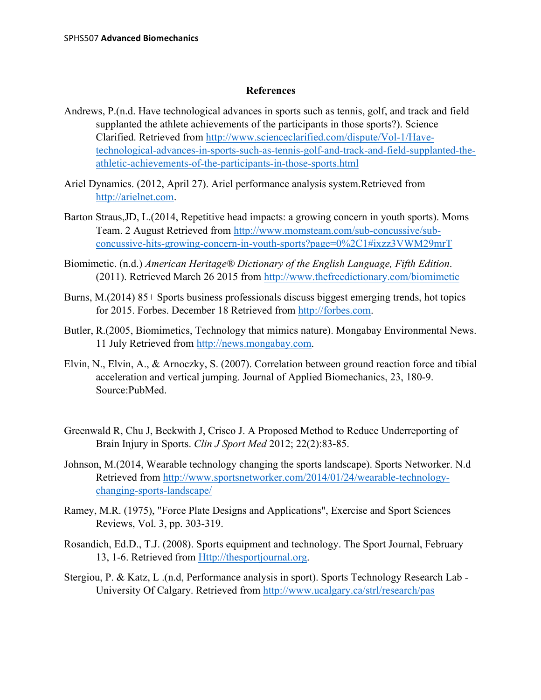## **References**

- Andrews, P.(n.d. Have technological advances in sports such as tennis, golf, and track and field supplanted the athlete achievements of the participants in those sports?). Science Clarified. Retrieved from http://www.scienceclarified.com/dispute/Vol-1/Havetechnological-advances-in-sports-such-as-tennis-golf-and-track-and-field-supplanted-theathletic-achievements-of-the-participants-in-those-sports.html
- Ariel Dynamics. (2012, April 27). Ariel performance analysis system.Retrieved from http://arielnet.com.
- Barton Straus,JD, L.(2014, Repetitive head impacts: a growing concern in youth sports). Moms Team. 2 August Retrieved from http://www.momsteam.com/sub-concussive/subconcussive-hits-growing-concern-in-youth-sports?page=0%2C1#ixzz3VWM29mrT
- Biomimetic. (n.d.) *American Heritage® Dictionary of the English Language, Fifth Edition*. (2011). Retrieved March 26 2015 from http://www.thefreedictionary.com/biomimetic
- Burns, M.(2014) 85+ Sports business professionals discuss biggest emerging trends, hot topics for 2015. Forbes. December 18 Retrieved from http://forbes.com.
- Butler, R.(2005, Biomimetics, Technology that mimics nature). Mongabay Environmental News. 11 July Retrieved from http://news.mongabay.com.
- Elvin, N., Elvin, A., & Arnoczky, S. (2007). Correlation between ground reaction force and tibial acceleration and vertical jumping. Journal of Applied Biomechanics, 23, 180-9. Source:PubMed.
- Greenwald R, Chu J, Beckwith J, Crisco J. A Proposed Method to Reduce Underreporting of Brain Injury in Sports. *Clin J Sport Med* 2012; 22(2):83-85.
- Johnson, M.(2014, Wearable technology changing the sports landscape). Sports Networker. N.d Retrieved from http://www.sportsnetworker.com/2014/01/24/wearable-technologychanging-sports-landscape/
- Ramey, M.R. (1975), "Force Plate Designs and Applications", Exercise and Sport Sciences Reviews, Vol. 3, pp. 303-319.
- Rosandich, Ed.D., T.J. (2008). Sports equipment and technology. The Sport Journal, February 13, 1-6. Retrieved from Http://thesportjournal.org.
- Stergiou, P. & Katz, L .(n.d, Performance analysis in sport). Sports Technology Research Lab University Of Calgary. Retrieved from http://www.ucalgary.ca/strl/research/pas